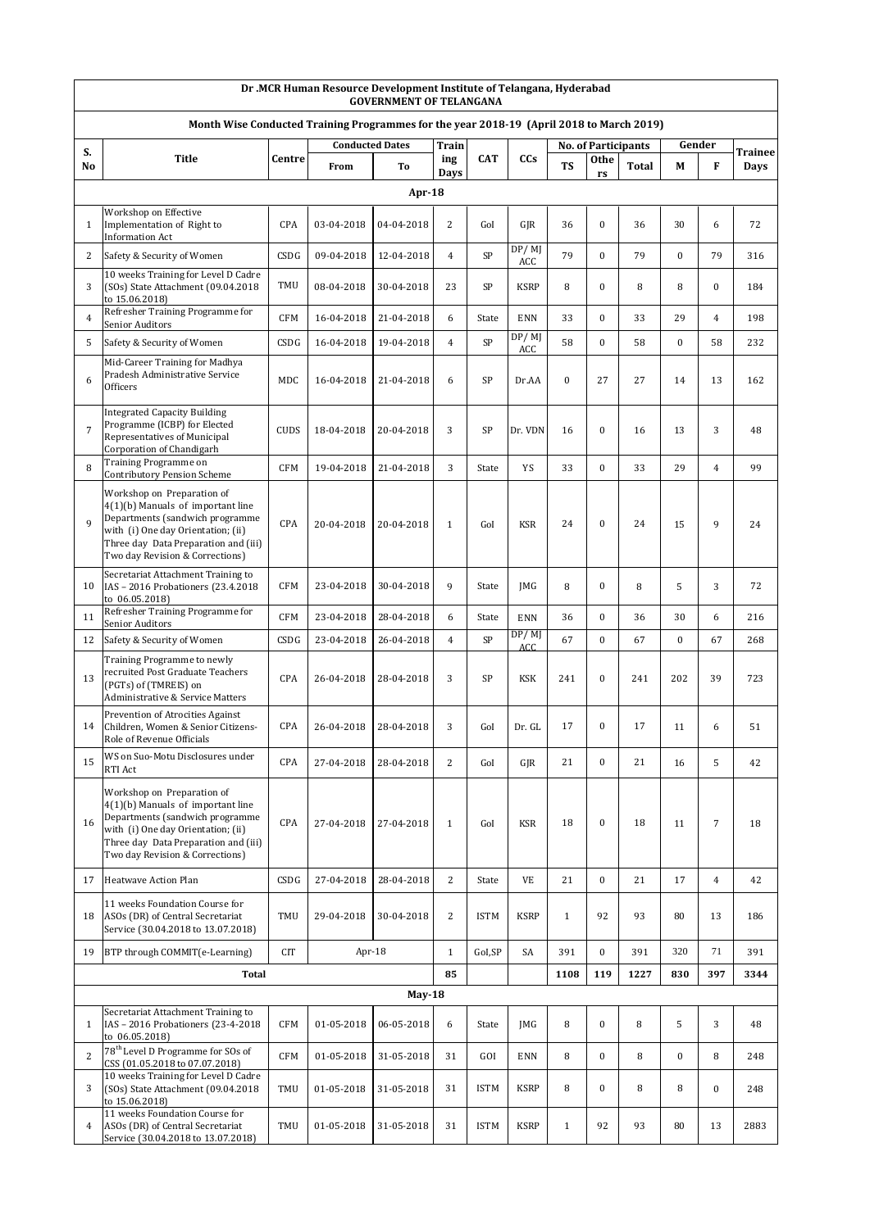|                | Dr .MCR Human Resource Development Institute of Telangana, Hyderabad<br><b>GOVERNMENT OF TELANGANA</b>                                                                                                                |             |                        |            |                |             |              |                  |                  |                            |                  |                  |         |
|----------------|-----------------------------------------------------------------------------------------------------------------------------------------------------------------------------------------------------------------------|-------------|------------------------|------------|----------------|-------------|--------------|------------------|------------------|----------------------------|------------------|------------------|---------|
|                | Month Wise Conducted Training Programmes for the year 2018-19 (April 2018 to March 2019)                                                                                                                              |             |                        |            |                |             |              |                  |                  |                            |                  |                  |         |
| S.             |                                                                                                                                                                                                                       |             | <b>Conducted Dates</b> |            | <b>Train</b>   |             |              |                  |                  | <b>No. of Participants</b> | Gender           |                  | Trainee |
| No             | <b>Title</b>                                                                                                                                                                                                          | Centre      | From                   | Тo         | ing<br>Days    | <b>CAT</b>  | CCs          | TS               | Othe<br>rs       | <b>Total</b>               | М                | F                | Days    |
|                |                                                                                                                                                                                                                       |             |                        | Apr- $18$  |                |             |              |                  |                  |                            |                  |                  |         |
| $\mathbf{1}$   | Workshop on Effective<br>Implementation of Right to<br><b>Information Act</b>                                                                                                                                         | CPA         | 03-04-2018             | 04-04-2018 | $\overline{2}$ | GoI         | GJR          | 36               | $\boldsymbol{0}$ | 36                         | 30               | 6                | 72      |
| 2              | Safety & Security of Women                                                                                                                                                                                            | CSDG        | 09-04-2018             | 12-04-2018 | $\overline{4}$ | SP          | DP/MJ<br>ACC | 79               | $\mathbf{0}$     | 79                         | $\bf{0}$         | 79               | 316     |
| 3              | 10 weeks Training for Level D Cadre<br>(SOs) State Attachment (09.04.2018<br>to 15.06.2018)                                                                                                                           | TMU         | 08-04-2018             | 30-04-2018 | 23             | SP          | <b>KSRP</b>  | 8                | $\boldsymbol{0}$ | 8                          | 8                | $\boldsymbol{0}$ | 184     |
| 4              | Refresher Training Programme for<br>Senior Auditors                                                                                                                                                                   | <b>CFM</b>  | 16-04-2018             | 21-04-2018 | 6              | State       | <b>ENN</b>   | 33               | $\boldsymbol{0}$ | 33                         | 29               | $\overline{4}$   | 198     |
| 5              | Safety & Security of Women                                                                                                                                                                                            | CSDG        | 16-04-2018             | 19-04-2018 | $\overline{4}$ | SP          | DP/MJ<br>ACC | 58               | $\boldsymbol{0}$ | 58                         | $\boldsymbol{0}$ | 58               | 232     |
| 6              | Mid-Career Training for Madhya<br>Pradesh Administrative Service<br>Officers                                                                                                                                          | MDC         | 16-04-2018             | 21-04-2018 | 6              | SP          | Dr.AA        | $\boldsymbol{0}$ | 27               | 27                         | 14               | 13               | 162     |
| $\overline{7}$ | <b>Integrated Capacity Building</b><br>Programme (ICBP) for Elected<br>Representatives of Municipal<br>Corporation of Chandigarh                                                                                      | <b>CUDS</b> | 18-04-2018             | 20-04-2018 | 3              | SP          | Dr. VDN      | 16               | $\boldsymbol{0}$ | 16                         | 13               | 3                | 48      |
| 8              | Training Programme on<br><b>Contributory Pension Scheme</b>                                                                                                                                                           | <b>CFM</b>  | 19-04-2018             | 21-04-2018 | 3              | State       | YS           | 33               | $\bf{0}$         | 33                         | 29               | $\overline{4}$   | 99      |
| $\mathbf{Q}$   | Workshop on Preparation of<br>$4(1)(b)$ Manuals of important line<br>Departments (sandwich programme<br>with (i) One day Orientation; (ii)<br>Three day Data Preparation and (iii)<br>Two day Revision & Corrections) | CPA         | 20-04-2018             | 20-04-2018 | $\mathbf{1}$   | GoI         | <b>KSR</b>   | 24               | $\boldsymbol{0}$ | 24                         | 15               | 9                | 24      |
| 10             | Secretariat Attachment Training to<br>IAS - 2016 Probationers (23.4.2018<br>to 06.05.2018)                                                                                                                            | <b>CFM</b>  | 23-04-2018             | 30-04-2018 | 9              | State       | <b>IMG</b>   | 8                | $\boldsymbol{0}$ | 8                          | 5                | 3                | 72      |
| 11             | Refresher Training Programme for<br>Senior Auditors                                                                                                                                                                   | <b>CFM</b>  | 23-04-2018             | 28-04-2018 | 6              | State       | <b>ENN</b>   | 36               | $\overline{0}$   | 36                         | 30               | 6                | 216     |
| 12             | Safety & Security of Women                                                                                                                                                                                            | CSDG        | 23-04-2018             | 26-04-2018 | $\overline{4}$ | SP          | DP/MJ<br>ACC | 67               | $\boldsymbol{0}$ | 67                         | $\boldsymbol{0}$ | 67               | 268     |
| 13             | Training Programme to newly<br>recruited Post Graduate Teachers<br>(PGTs) of (TMREIS) on<br>Administrative & Service Matters                                                                                          | CPA         | 26-04-2018             | 28-04-2018 | 3              | SP          | <b>KSK</b>   | 241              | $\boldsymbol{0}$ | 241                        | 202              | 39               | 723     |
| 14             | Prevention of Atrocities Against<br>Children, Women & Senior Citizens-<br>Role of Revenue Officials                                                                                                                   | CPA         | 26-04-2018             | 28-04-2018 | 3              | GoI         | Dr. GL       | 17               | $\bf{0}$         | 17                         | 11               | 6                | 51      |
| 15             | WS on Suo-Motu Disclosures under<br>RTI Act                                                                                                                                                                           | CPA         | 27-04-2018             | 28-04-2018 | $\overline{2}$ | GoI         | GIR          | 21               | $\bf{0}$         | 21                         | 16               | 5                | 42      |
| 16             | Workshop on Preparation of<br>$4(1)(b)$ Manuals of important line<br>Departments (sandwich programme<br>with (i) One day Orientation; (ii)<br>Three day Data Preparation and (iii)<br>Two day Revision & Corrections) | CPA         | 27-04-2018             | 27-04-2018 | $\mathbf{1}$   | GoI         | <b>KSR</b>   | 18               | $\mathbf{0}$     | 18                         | 11               | $\sqrt{ }$       | 18      |
| 17             | <b>Heatwave Action Plan</b>                                                                                                                                                                                           | CSDG        | 27-04-2018             | 28-04-2018 | $\mathbf{2}$   | State       | VE           | 21               | $\mathbf{0}$     | 21                         | 17               | $\overline{4}$   | 42      |
| 18             | 11 weeks Foundation Course for<br>ASOs (DR) of Central Secretariat<br>Service (30.04.2018 to 13.07.2018)                                                                                                              | <b>TMU</b>  | 29-04-2018             | 30-04-2018 | $\overline{c}$ | <b>ISTM</b> | <b>KSRP</b>  | $\mathbf{1}$     | 92               | 93                         | 80               | 13               | 186     |
| 19             | BTP through COMMIT(e-Learning)                                                                                                                                                                                        | <b>CIT</b>  | Apr-18                 |            | $\mathbf{1}$   | GoI,SP      | SA           | 391              | $\bf{0}$         | 391                        | 320              | 71               | 391     |
|                | <b>Total</b>                                                                                                                                                                                                          |             |                        |            | 85             |             |              | 1108             | 119              | 1227                       | 830              | 397              | 3344    |
|                |                                                                                                                                                                                                                       |             |                        | $May-18$   |                |             |              |                  |                  |                            |                  |                  |         |
| $\mathbf{1}$   | Secretariat Attachment Training to<br>IAS - 2016 Probationers (23-4-2018)<br>to 06.05.2018)                                                                                                                           | <b>CFM</b>  | 01-05-2018             | 06-05-2018 | 6              | State       | <b>IMG</b>   | 8                | $\boldsymbol{0}$ | 8                          | 5                | 3                | 48      |
| 2              | 78 <sup>th</sup> Level D Programme for SOs of<br>CSS (01.05.2018 to 07.07.2018)                                                                                                                                       | <b>CFM</b>  | 01-05-2018             | 31-05-2018 | 31             | GOI         | <b>ENN</b>   | 8                | $\bf{0}$         | 8                          | $\boldsymbol{0}$ | 8                | 248     |
| 3              | 10 weeks Training for Level D Cadre<br>(SOs) State Attachment (09.04.2018<br>to 15.06.2018)                                                                                                                           | TMU         | 01-05-2018             | 31-05-2018 | 31             | <b>ISTM</b> | <b>KSRP</b>  | 8                | $\boldsymbol{0}$ | 8                          | 8                | $\boldsymbol{0}$ | 248     |
| 4              | 11 weeks Foundation Course for<br>ASOs (DR) of Central Secretariat<br>Service (30.04.2018 to 13.07.2018)                                                                                                              | TMU         | 01-05-2018             | 31-05-2018 | 31             | <b>ISTM</b> | <b>KSRP</b>  | $\mathbf{1}$     | 92               | 93                         | 80               | 13               | 2883    |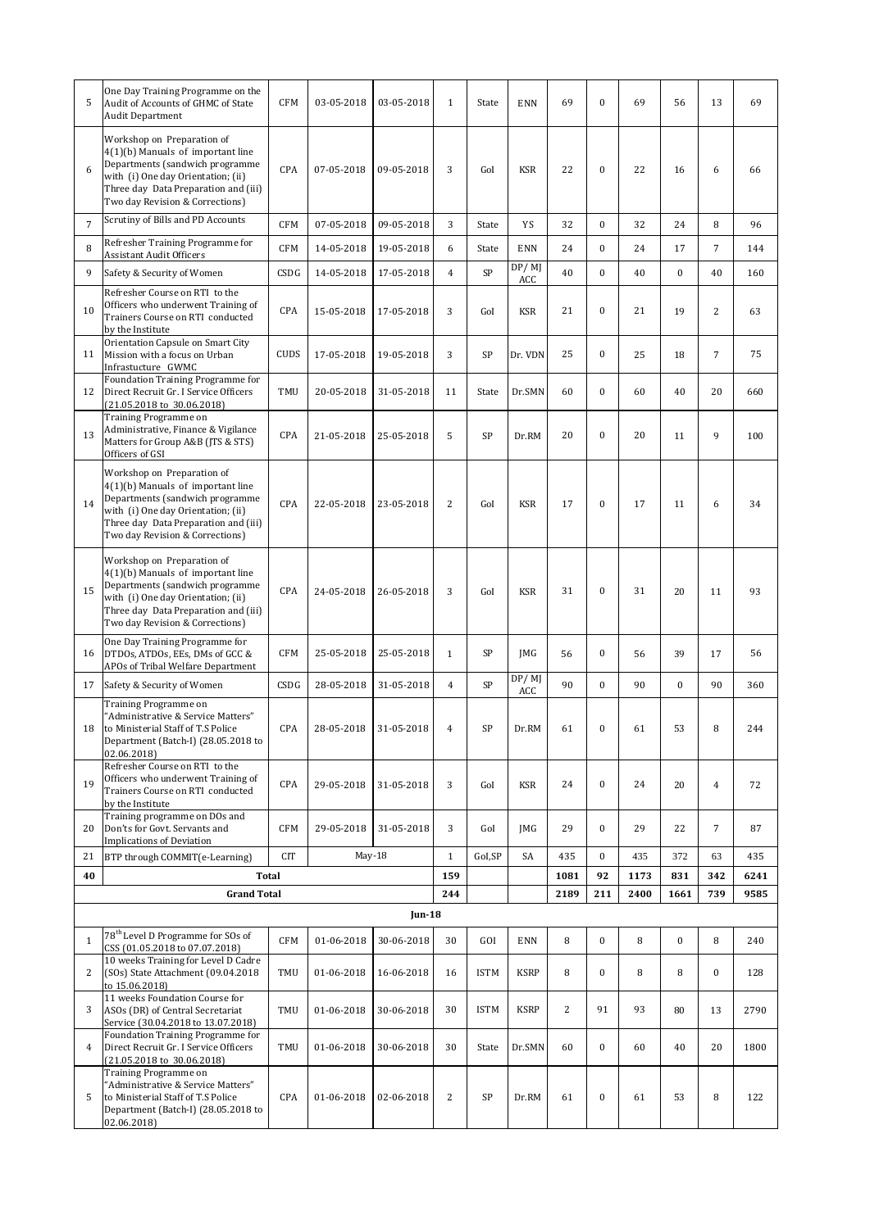| 5                 | One Day Training Programme on the<br>Audit of Accounts of GHMC of State<br><b>Audit Department</b>                                                                                                                  | <b>CFM</b>        | 03-05-2018               | 03-05-2018               | $\mathbf{1}$   | State              | <b>ENN</b>                 | 69             | $\boldsymbol{0}$                     | 69           | 56            | 13             | 69         |
|-------------------|---------------------------------------------------------------------------------------------------------------------------------------------------------------------------------------------------------------------|-------------------|--------------------------|--------------------------|----------------|--------------------|----------------------------|----------------|--------------------------------------|--------------|---------------|----------------|------------|
| 6                 | Workshop on Preparation of<br>4(1)(b) Manuals of important line<br>Departments (sandwich programme<br>with (i) One day Orientation; (ii)<br>Three day Data Preparation and (iii)<br>Two day Revision & Corrections) | CPA               | 07-05-2018               | 09-05-2018               | 3              | GoI                | KSR                        | 22             | $\mathbf{0}$                         | 22           | 16            | 6              | 66         |
| $\overline{7}$    | Scrutiny of Bills and PD Accounts                                                                                                                                                                                   | <b>CFM</b>        | 07-05-2018               | 09-05-2018               | 3              | State              | YS                         | 32             | $\boldsymbol{0}$                     | 32           | 24            | 8              | 96         |
| 8                 | Refresher Training Programme for<br><b>Assistant Audit Officers</b>                                                                                                                                                 | <b>CFM</b>        | 14-05-2018               | 19-05-2018               | 6              | State              | <b>ENN</b>                 | 24             | $\boldsymbol{0}$                     | 24           | 17            | $\overline{7}$ | 144        |
| 9                 | Safety & Security of Women                                                                                                                                                                                          | CSDG              | 14-05-2018               | 17-05-2018               | $\overline{4}$ | SP                 | DP/MJ                      | 40             | $\boldsymbol{0}$                     | 40           | $\bf{0}$      | 40             | 160        |
| 10                | Refresher Course on RTI to the<br>Officers who underwent Training of<br>Trainers Course on RTI conducted<br>by the Institute                                                                                        | CPA               | 15-05-2018               | 17-05-2018               | 3              | GoI                | ACC<br><b>KSR</b>          | 21             | $\boldsymbol{0}$                     | 21           | 19            | $\overline{2}$ | 63         |
| 11                | Orientation Capsule on Smart City<br>Mission with a focus on Urban<br>Infrastucture GWMC                                                                                                                            | CUDS              | 17-05-2018               | 19-05-2018               | 3              | SP                 | Dr. VDN                    | 25             | $\boldsymbol{0}$                     | 25           | 18            | $\overline{7}$ | 75         |
| 12                | Foundation Training Programme for<br>Direct Recruit Gr. I Service Officers<br>$(21.05.2018 \text{ to } 30.06.2018)$                                                                                                 | TMU               | 20-05-2018               | 31-05-2018               | 11             | State              | Dr.SMN                     | 60             | $\boldsymbol{0}$                     | 60           | 40            | 20             | 660        |
| 13                | Training Programme on<br>Administrative, Finance & Vigilance<br>Matters for Group A&B (JTS & STS)<br>Officers of GSI                                                                                                | CPA               | 21-05-2018               | 25-05-2018               | 5              | SP                 | Dr.RM                      | 20             | $\boldsymbol{0}$                     | 20           | 11            | 9              | 100        |
| 14                | Workshop on Preparation of<br>4(1)(b) Manuals of important line<br>Departments (sandwich programme<br>with (i) One day Orientation; (ii)<br>Three day Data Preparation and (iii)<br>Two day Revision & Corrections) | CPA               | 22-05-2018               | 23-05-2018               | $\overline{c}$ | GoI                | <b>KSR</b>                 | 17             | $\boldsymbol{0}$                     | 17           | 11            | 6              | 34         |
| 15                | Workshop on Preparation of<br>4(1)(b) Manuals of important line<br>Departments (sandwich programme<br>with (i) One day Orientation; (ii)<br>Three day Data Preparation and (iii)<br>Two day Revision & Corrections) | CPA               | 24-05-2018               | 26-05-2018               | 3              | GoI                | <b>KSR</b>                 | 31             | $\boldsymbol{0}$                     | 31           | 20            | 11             | 93         |
| 16                | One Day Training Programme for<br>DTDOs, ATDOs, EEs, DMs of GCC &<br>APOs of Tribal Welfare Department                                                                                                              | <b>CFM</b>        | 25-05-2018               | 25-05-2018               | $\mathbf{1}$   | SP                 | JMG                        | 56             | $\boldsymbol{0}$                     | 56           | 39            | 17             | 56         |
| 17                | Safety & Security of Women                                                                                                                                                                                          | CSDG              | 28-05-2018               | 31-05-2018               | $\overline{4}$ | SP                 | $\overline{DP}/$ MJ<br>ACC | 90             | $\mathbf{0}$                         | 90           | $\bf{0}$      | 90             | 360        |
| 18                | Training Programme on<br>'Administrative & Service Matters"<br>to Ministerial Staff of T.S Police<br>Department (Batch-I) (28.05.2018 to<br>02.06.2018)                                                             | CPA               | 28-05-2018               | 31-05-2018               | $\overline{4}$ | SP                 | Dr.RM                      | 61             | $\boldsymbol{0}$                     | 61           | 53            | 8              | 244        |
| 19                | Refresher Course on RTI to the<br>Officers who underwent Training of<br>Trainers Course on RTI conducted<br>by the Institute                                                                                        | CPA               | 29-05-2018               | 31-05-2018               | 3              | GoI                | <b>KSR</b>                 | 24             | $\boldsymbol{0}$                     | 24           | 20            | $\overline{4}$ | 72         |
| 20                | Training programme on DOs and<br>Don'ts for Govt. Servants and<br><b>Implications of Deviation</b>                                                                                                                  | <b>CFM</b>        | 29-05-2018               | 31-05-2018               | 3              | GoI                | <b>IMG</b>                 | 29             | $\boldsymbol{0}$                     | 29           | 22            | $\overline{7}$ | 87         |
| 21                | BTP through COMMIT(e-Learning)                                                                                                                                                                                      | <b>CIT</b>        | $May-18$                 |                          | $\mathbf{1}$   | GoI,SP             | SA                         | 435            | $\mathbf{0}$                         | 435          | 372           | 63             | 435        |
| 40                | <b>Total</b>                                                                                                                                                                                                        |                   |                          |                          | 159            |                    |                            | 1081           | 92                                   | 1173<br>2400 | 831           | 342            | 6241       |
|                   | <b>Grand Total</b>                                                                                                                                                                                                  |                   |                          | <b>Jun-18</b>            | 244            |                    |                            | 2189           | 211                                  |              | 1661          | 739            | 9585       |
|                   | 78 <sup>th</sup> Level D Programme for SOs of                                                                                                                                                                       |                   |                          |                          |                |                    |                            |                |                                      |              |               |                |            |
| $\mathbf{1}$<br>2 | CSS (01.05.2018 to 07.07.2018)<br>10 weeks Training for Level D Cadre<br>(SOs) State Attachment (09.04.2018                                                                                                         | <b>CFM</b><br>TMU | 01-06-2018<br>01-06-2018 | 30-06-2018<br>16-06-2018 | 30<br>16       | GOI<br><b>ISTM</b> | <b>ENN</b><br><b>KSRP</b>  | 8<br>8         | $\boldsymbol{0}$<br>$\boldsymbol{0}$ | 8<br>8       | $\bf{0}$<br>8 | 8<br>$\bf{0}$  | 240<br>128 |
|                   | to 15.06.2018)<br>11 weeks Foundation Course for                                                                                                                                                                    |                   |                          |                          |                |                    |                            |                |                                      |              |               |                |            |
| 3                 | ASOs (DR) of Central Secretariat<br>Service (30.04.2018 to 13.07.2018)<br>Foundation Training Programme for                                                                                                         | <b>TMU</b>        | 01-06-2018               | 30-06-2018               | 30             | <b>ISTM</b>        | <b>KSRP</b>                | $\overline{c}$ | 91                                   | 93           | 80            | 13             | 2790       |
| $\overline{4}$    | Direct Recruit Gr. I Service Officers<br>$(21.05.2018 \text{ to } 30.06.2018)$<br>Training Programme on                                                                                                             | TMU               | 01-06-2018               | 30-06-2018               | 30             | State              | Dr.SMN                     | 60             | $\boldsymbol{0}$                     | 60           | 40            | 20             | 1800       |
| 5                 | 'Administrative & Service Matters"<br>to Ministerial Staff of T.S Police<br>Department (Batch-I) (28.05.2018 to<br>02.06.2018)                                                                                      | CPA               | 01-06-2018               | 02-06-2018               | $\overline{c}$ | SP                 | Dr.RM                      | 61             | $\boldsymbol{0}$                     | 61           | 53            | 8              | 122        |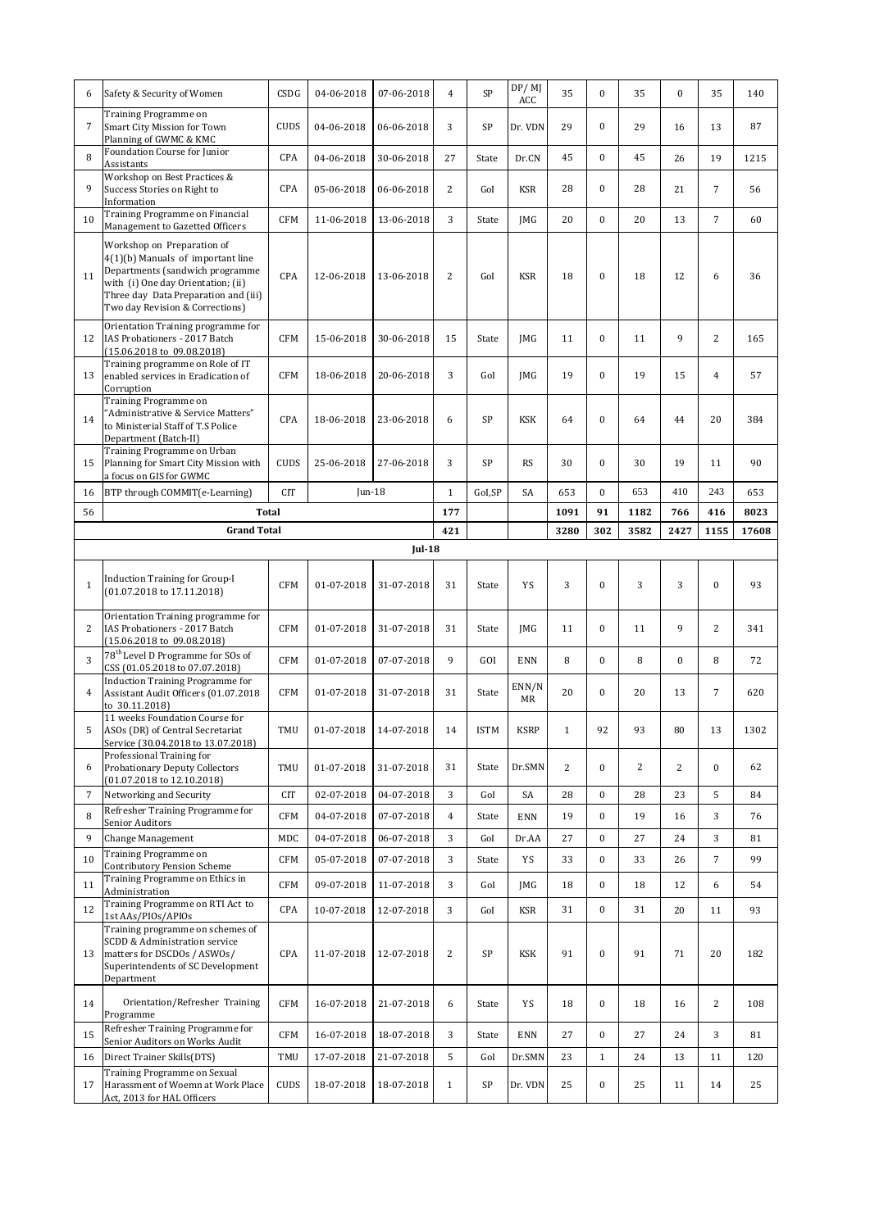| 6              | Safety & Security of Women                                                                                                                                                                                            | CSDG       | 04-06-2018 | 07-06-2018            | 4              | SP          | DP/MJ<br>ACC | 35             | $\boldsymbol{0}$ | 35   | $\bf{0}$       | 35             | 140   |
|----------------|-----------------------------------------------------------------------------------------------------------------------------------------------------------------------------------------------------------------------|------------|------------|-----------------------|----------------|-------------|--------------|----------------|------------------|------|----------------|----------------|-------|
| $\overline{7}$ | Training Programme on<br>Smart City Mission for Town<br>Planning of GWMC & KMC                                                                                                                                        | CUDS       | 04-06-2018 | 06-06-2018            | 3              | SP          | Dr. VDN      | 29             | $\boldsymbol{0}$ | 29   | 16             | 13             | 87    |
| 8              | Foundation Course for Junior<br>Assistants                                                                                                                                                                            | CPA        | 04-06-2018 | 30-06-2018            | 27             | State       | Dr.CN        | 45             | $\boldsymbol{0}$ | 45   | 26             | 19             | 1215  |
| 9              | Workshop on Best Practices &<br>Success Stories on Right to<br>Information                                                                                                                                            | CPA        | 05-06-2018 | 06-06-2018            | 2              | GoI         | <b>KSR</b>   | 28             | $\boldsymbol{0}$ | 28   | 21             | $\overline{7}$ | 56    |
| 10             | Training Programme on Financial<br>Management to Gazetted Officers                                                                                                                                                    | <b>CFM</b> | 11-06-2018 | 13-06-2018            | 3              | State       | JMG          | 20             | $\boldsymbol{0}$ | 20   | 13             | $\overline{7}$ | 60    |
| 11             | Workshop on Preparation of<br>$4(1)(b)$ Manuals of important line<br>Departments (sandwich programme<br>with (i) One day Orientation; (ii)<br>Three day Data Preparation and (iii)<br>Two day Revision & Corrections) | CPA        | 12-06-2018 | 13-06-2018            | 2              | GoI         | <b>KSR</b>   | 18             | $\boldsymbol{0}$ | 18   | 12             | 6              | 36    |
| 12             | Orientation Training programme for<br>IAS Probationers - 2017 Batch<br>$(15.06.2018 \text{ to } 09.08.2018)$                                                                                                          | <b>CFM</b> | 15-06-2018 | 30-06-2018            | 15             | State       | JMG          | 11             | $\boldsymbol{0}$ | 11   | 9              | 2              | 165   |
| 13             | Training programme on Role of IT<br>enabled services in Eradication of<br>Corruption                                                                                                                                  | <b>CFM</b> | 18-06-2018 | 20-06-2018            | 3              | GoI         | <b>IMG</b>   | 19             | $\boldsymbol{0}$ | 19   | 15             | $\overline{4}$ | 57    |
| 14             | Training Programme on<br>"Administrative & Service Matters"<br>to Ministerial Staff of T.S Police<br>Department (Batch-II)                                                                                            | <b>CPA</b> | 18-06-2018 | 23-06-2018            | 6              | SP          | KSK          | 64             | $\boldsymbol{0}$ | 64   | 44             | 20             | 384   |
| 15             | Training Programme on Urban<br>Planning for Smart City Mission with<br>a focus on GIS for GWMC                                                                                                                        | CUDS       | 25-06-2018 | 27-06-2018            | 3              | <b>SP</b>   | <b>RS</b>    | 30             | $\boldsymbol{0}$ | 30   | 19             | 11             | 90    |
| 16             | BTP through COMMIT(e-Learning)                                                                                                                                                                                        | <b>CIT</b> | $Jun-18$   |                       | $\mathbf{1}$   | GoI,SP      | SA           | 653            | $\boldsymbol{0}$ | 653  | 410            | 243            | 653   |
| 56             |                                                                                                                                                                                                                       | Total      |            |                       | 177            |             |              | 1091           | 91               | 1182 | 766            | 416            | 8023  |
|                | <b>Grand Total</b>                                                                                                                                                                                                    |            |            |                       | 421            |             |              | 3280           | 302              | 3582 | 2427           | 1155           | 17608 |
|                |                                                                                                                                                                                                                       |            |            | $Jul-18$              |                |             |              |                |                  |      |                |                |       |
| $\mathbf{1}$   | Induction Training for Group-I<br>$(01.07.2018 \text{ to } 17.11.2018)$                                                                                                                                               | <b>CFM</b> | 01-07-2018 | 31-07-2018            | 31             | State       | YS           | 3              | $\boldsymbol{0}$ | 3    | 3              | $\bf{0}$       | 93    |
|                | Orientation Training programme for                                                                                                                                                                                    |            |            |                       |                |             |              |                |                  |      |                |                |       |
| 2              | IAS Probationers - 2017 Batch<br>$(15.06.2018 \text{ to } 09.08.2018)$                                                                                                                                                | <b>CFM</b> | 01-07-2018 | 31-07-2018            | 31             | State       | JMG          | 11             | $\boldsymbol{0}$ | 11   | 9              | $\overline{c}$ | 341   |
| 3              | 78 <sup>th</sup> Level D Programme for SOs of<br>CSS (01.05.2018 to 07.07.2018)                                                                                                                                       | <b>CFM</b> | 01-07-2018 | 07-07-2018            | 9              | GOI         | <b>ENN</b>   | 8              | $\boldsymbol{0}$ | 8    | $\bf{0}$       | 8              | 72    |
| $\overline{4}$ | <b>Induction Training Programme for</b><br>Assistant Audit Officers (01.07.2018<br>to 30.11.2018)                                                                                                                     | <b>CFM</b> | 01-07-2018 | 31-07-2018            | 31             | State       | ENN/N<br>MR  | 20             | $\boldsymbol{0}$ | 20   | 13             | $\overline{7}$ | 620   |
| 5              | 11 weeks Foundation Course for<br>ASOs (DR) of Central Secretariat<br>Service (30.04.2018 to 13.07.2018)                                                                                                              | TMU        |            | 01-07-2018 14-07-2018 | 14             | <b>ISTM</b> | <b>KSRP</b>  | $\mathbf{1}$   | 92               | 93   | ${\bf 80}$     | 13             | 1302  |
| 6              | Professional Training for<br><b>Probationary Deputy Collectors</b><br>(01.07.2018 to 12.10.2018)                                                                                                                      | TMU        | 01-07-2018 | 31-07-2018            | 31             | State       | Dr.SMN       | $\overline{c}$ | $\boldsymbol{0}$ | 2    | $\overline{c}$ | $\bf{0}$       | 62    |
| 7              | Networking and Security                                                                                                                                                                                               | <b>CIT</b> | 02-07-2018 | 04-07-2018            | 3              | GoI         | SA           | 28             | $\boldsymbol{0}$ | 28   | 23             | 5              | 84    |
| 8              | Refresher Training Programme for<br>Senior Auditors                                                                                                                                                                   | <b>CFM</b> | 04-07-2018 | 07-07-2018            | $\overline{4}$ | State       | ENN          | 19             | $\boldsymbol{0}$ | 19   | 16             | 3              | 76    |
| 9              | Change Management                                                                                                                                                                                                     | MDC        | 04-07-2018 | 06-07-2018            | 3              | GoI         | Dr.AA        | 27             | $\boldsymbol{0}$ | 27   | 24             | 3              | 81    |
| 10             | Training Programme on<br>Contributory Pension Scheme                                                                                                                                                                  | <b>CFM</b> | 05-07-2018 | 07-07-2018            | 3              | State       | YS           | 33             | $\boldsymbol{0}$ | 33   | 26             | $\overline{7}$ | 99    |
| 11             | Training Programme on Ethics in<br>Administration                                                                                                                                                                     | <b>CFM</b> | 09-07-2018 | 11-07-2018            | 3              | GoI         | JMG          | 18             | $\boldsymbol{0}$ | 18   | 12             | 6              | 54    |
| 12             | Training Programme on RTI Act to<br>1st AAs/PIOs/APIOs                                                                                                                                                                | CPA        | 10-07-2018 | 12-07-2018            | 3              | GoI         | KSR          | 31             | $\boldsymbol{0}$ | 31   | 20             | 11             | 93    |
| 13             | Training programme on schemes of<br>SCDD & Administration service<br>matters for DSCDOs / ASWOs/<br>Superintendents of SC Development<br>Department                                                                   | CPA        | 11-07-2018 | 12-07-2018            | 2              | SP          | KSK          | 91             | $\boldsymbol{0}$ | 91   | 71             | 20             | 182   |
| 14             | Orientation/Refresher Training<br>Programme                                                                                                                                                                           | <b>CFM</b> | 16-07-2018 | 21-07-2018            | 6              | State       | YS           | 18             | $\boldsymbol{0}$ | 18   | 16             | $\mathbf{2}$   | 108   |
| 15             | Refresher Training Programme for<br>Senior Auditors on Works Audit                                                                                                                                                    | <b>CFM</b> | 16-07-2018 | 18-07-2018            | 3              | State       | <b>ENN</b>   | 27             | $\boldsymbol{0}$ | 27   | 24             | 3              | 81    |
| 16             | Direct Trainer Skills(DTS)<br>Training Programme on Sexual                                                                                                                                                            | TMU        | 17-07-2018 | 21-07-2018            | 5              | GoI         | Dr.SMN       | 23             | $1\,$            | 24   | 13             | 11             | 120   |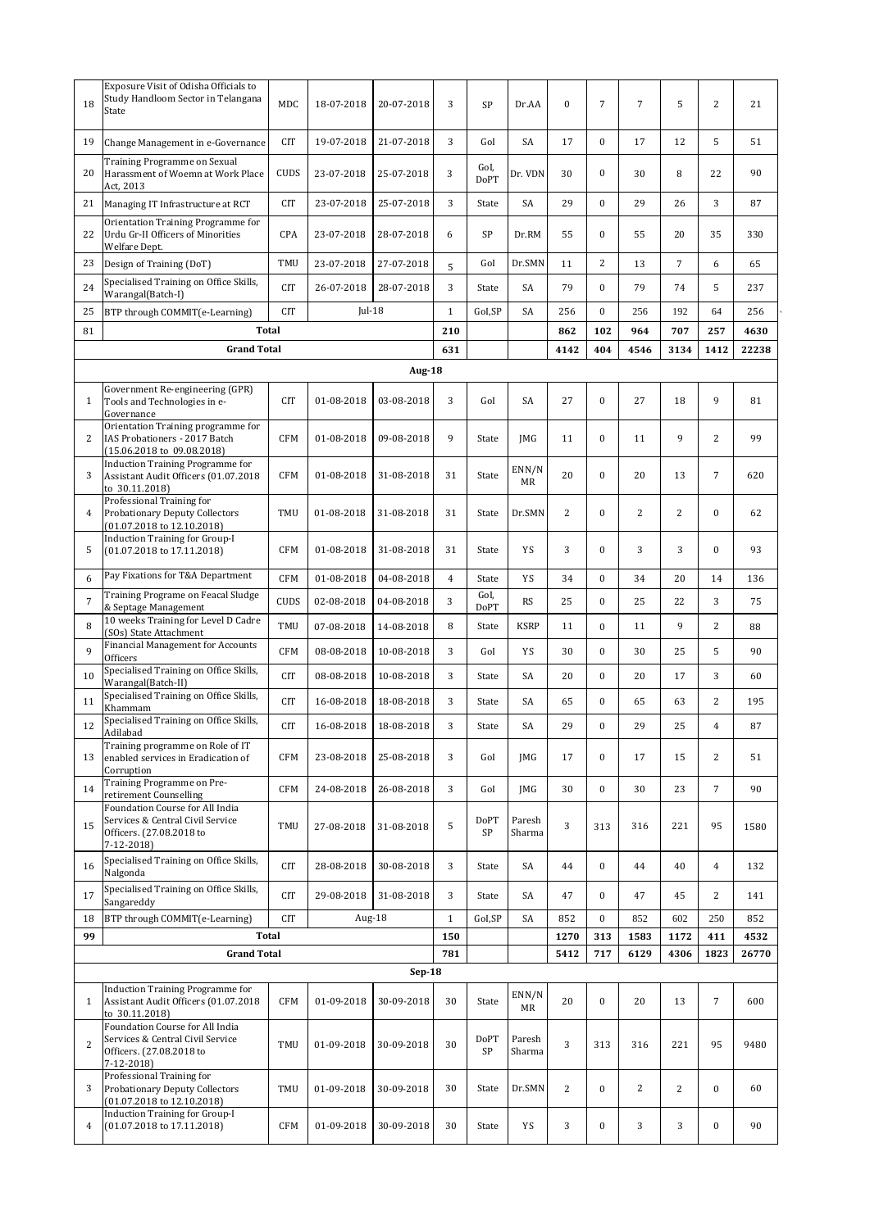| 18             | Exposure Visit of Odisha Officials to<br>Study Handloom Sector in Telangana<br>State                          | <b>MDC</b>  | 18-07-2018 | 20-07-2018    | 3              | <b>SP</b>           | Dr.AA            | $\bf{0}$       | $\overline{7}$   | $\overline{7}$ | 5              | $\overline{2}$   | 21    |
|----------------|---------------------------------------------------------------------------------------------------------------|-------------|------------|---------------|----------------|---------------------|------------------|----------------|------------------|----------------|----------------|------------------|-------|
| 19             | Change Management in e-Governance                                                                             | <b>CIT</b>  | 19-07-2018 | 21-07-2018    | 3              | GoI                 | SA               | 17             | $\overline{0}$   | 17             | 12             | 5                | 51    |
| 20             | Training Programme on Sexual<br>Harassment of Woemn at Work Place<br>Act, 2013                                | CUDS        | 23-07-2018 | 25-07-2018    | 3              | GoI,<br><b>DoPT</b> | Dr. VDN          | 30             | $\boldsymbol{0}$ | 30             | 8              | 22               | 90    |
| 21             | Managing IT Infrastructure at RCT                                                                             | <b>CIT</b>  | 23-07-2018 | 25-07-2018    | 3              | State               | SA               | 29             | $\overline{0}$   | 29             | 26             | 3                | 87    |
| 22             | Orientation Training Programme for<br>Urdu Gr-II Officers of Minorities<br>Welfare Dept.                      | CPA         | 23-07-2018 | 28-07-2018    | 6              | SP                  | Dr.RM            | 55             | $\overline{0}$   | 55             | 20             | 35               | 330   |
| 23             | Design of Training (DoT)                                                                                      | TMU         | 23-07-2018 | 27-07-2018    | 5              | GoI                 | Dr.SMN           | 11             | 2                | 13             | $\overline{7}$ | 6                | 65    |
| 24             | Specialised Training on Office Skills,<br>Warangal(Batch-I)                                                   | <b>CIT</b>  | 26-07-2018 | 28-07-2018    | 3              | State               | SA               | 79             | $\overline{0}$   | 79             | 74             | 5                | 237   |
| 25             | BTP through COMMIT(e-Learning)                                                                                | <b>CIT</b>  | $Jul-18$   |               | $\mathbf{1}$   | GoI,SP              | SA               | 256            | $\overline{0}$   | 256            | 192            | 64               | 256   |
| 81             | Total                                                                                                         |             |            |               | 210            |                     |                  | 862            | 102              | 964            | 707            | 257              | 4630  |
|                | <b>Grand Total</b>                                                                                            |             |            |               | 631            |                     |                  | 4142           | 404              | 4546           | 3134           | 1412             | 22238 |
|                | Government Re-engineering (GPR)                                                                               |             |            | <b>Aug-18</b> |                |                     |                  |                |                  |                |                |                  |       |
| $\mathbf{1}$   | Tools and Technologies in e-<br>Governance                                                                    | <b>CIT</b>  | 01-08-2018 | 03-08-2018    | 3              | GoI                 | SA               | 27             | $\boldsymbol{0}$ | 27             | 18             | 9                | 81    |
| 2              | Orientation Training programme for<br>IAS Probationers - 2017 Batch<br>$(15.06.2018 \text{ to } 09.08.2018)$  | <b>CFM</b>  | 01-08-2018 | 09-08-2018    | 9              | State               | JMG              | 11             | $\boldsymbol{0}$ | 11             | 9              | $\overline{2}$   | 99    |
| 3              | <b>Induction Training Programme for</b><br>Assistant Audit Officers (01.07.2018<br>to 30.11.2018)             | <b>CFM</b>  | 01-08-2018 | 31-08-2018    | 31             | State               | ENN/N<br>MR      | 20             | $\overline{0}$   | 20             | 13             | $\overline{7}$   | 620   |
| 4              | Professional Training for<br><b>Probationary Deputy Collectors</b><br>(01.07.2018 to 12.10.2018)              | TMU         | 01-08-2018 | 31-08-2018    | 31             | State               | Dr.SMN           | 2              | $\boldsymbol{0}$ | $\overline{c}$ | $\overline{c}$ | 0                | 62    |
| 5              | Induction Training for Group-I<br>$(01.07.2018 \text{ to } 17.11.2018)$                                       | <b>CFM</b>  | 01-08-2018 | 31-08-2018    | 31             | State               | YS               | 3              | $\boldsymbol{0}$ | 3              | 3              | $\bf{0}$         | 93    |
| 6              | Pay Fixations for T&A Department                                                                              | <b>CFM</b>  | 01-08-2018 | 04-08-2018    | $\overline{4}$ | State               | YS               | 34             | $\boldsymbol{0}$ | 34             | 20             | 14               | 136   |
| $\sqrt{ }$     | Training Programe on Feacal Sludge<br>& Septage Management                                                    | <b>CUDS</b> | 02-08-2018 | 04-08-2018    | 3              | GoI,<br><b>DoPT</b> | <b>RS</b>        | 25             | $\overline{0}$   | 25             | 22             | 3                | 75    |
| 8              | 10 weeks Training for Level D Cadre<br>(SOs) State Attachment                                                 | TMU         | 07-08-2018 | 14-08-2018    | 8              | State               | <b>KSRP</b>      | 11             | $\mathbf{0}$     | 11             | 9              | $\overline{c}$   | 88    |
| 9              | Financial Management for Accounts<br>Officers                                                                 | <b>CFM</b>  | 08-08-2018 | 10-08-2018    | 3              | GoI                 | YS               | 30             | $\overline{0}$   | 30             | 25             | 5                | 90    |
| 10             | Specialised Training on Office Skills,<br>Warangal(Batch-II)                                                  | <b>CIT</b>  | 08-08-2018 | 10-08-2018    | 3              | State               | SA               | 20             | $\overline{0}$   | 20             | 17             | 3                | 60    |
| 11             | Specialised Training on Office Skills,<br>Khammam                                                             | <b>CIT</b>  | 16-08-2018 | 18-08-2018    | 3              | State               | SA               | 65             | $\boldsymbol{0}$ | 65             | 63             | $\overline{c}$   | 195   |
| 12             | Specialised Training on Office Skills,<br>Adilabad                                                            | <b>CIT</b>  | 16-08-2018 | 18-08-2018    | 3              | State               | SA               | 29             | $\mathbf{0}$     | 29             | 25             | $\overline{4}$   | 87    |
| 13             | Training programme on Role of IT<br>enabled services in Eradication of<br>Corruption                          | <b>CFM</b>  | 23-08-2018 | 25-08-2018    | 3              | GoI                 | JMG              | 17             | $\boldsymbol{0}$ | 17             | 15             | $\overline{c}$   | 51    |
| 14             | Training Programme on Pre-<br>retirement Counselling                                                          | <b>CFM</b>  | 24-08-2018 | 26-08-2018    | 3              | GoI                 | JMG              | 30             | $\boldsymbol{0}$ | 30             | 23             | 7                | 90    |
| 15             | Foundation Course for All India<br>Services & Central Civil Service<br>Officers. (27.08.2018 to<br>7-12-2018) | TMU         | 27-08-2018 | 31-08-2018    | 5              | <b>DoPT</b><br>SP   | Paresh<br>Sharma | 3              | 313              | 316            | 221            | 95               | 1580  |
| 16             | Specialised Training on Office Skills,<br>Nalgonda                                                            | CIT         | 28-08-2018 | 30-08-2018    | 3              | State               | SA               | 44             | $\boldsymbol{0}$ | 44             | 40             | $\overline{4}$   | 132   |
| 17             | Specialised Training on Office Skills,<br>Sangareddy                                                          | CIT         | 29-08-2018 | 31-08-2018    | 3              | State               | SA               | 47             | $\mathbf{0}$     | 47             | 45             | 2                | 141   |
| 18             | BTP through COMMIT(e-Learning)                                                                                | <b>CIT</b>  | Aug-18     |               | $1\,$          | GoI,SP              | SA               | 852            | $\boldsymbol{0}$ | 852            | 602            | 250              | 852   |
| 99             | <b>Total</b>                                                                                                  |             |            |               | 150            |                     |                  | 1270           | 313              | 1583           | 1172           | 411              | 4532  |
|                | <b>Grand Total</b>                                                                                            |             |            | $Sep-18$      | 781            |                     |                  | 5412           | 717              | 6129           | 4306           | 1823             | 26770 |
|                | <b>Induction Training Programme for</b>                                                                       |             |            |               |                |                     | ENN/N            |                |                  |                |                |                  |       |
| $\mathbf{1}$   | Assistant Audit Officers (01.07.2018<br>to 30.11.2018)<br>Foundation Course for All India                     | <b>CFM</b>  | 01-09-2018 | 30-09-2018    | 30             | State               | MR               | 20             | $\boldsymbol{0}$ | 20             | 13             | $\overline{7}$   | 600   |
| $\overline{2}$ | Services & Central Civil Service<br>Officers. (27.08.2018 to<br>$7-12-2018$                                   | TMU         | 01-09-2018 | 30-09-2018    | 30             | <b>DoPT</b><br>SP   | Paresh<br>Sharma | 3              | 313              | 316            | 221            | 95               | 9480  |
| 3              | Professional Training for<br><b>Probationary Deputy Collectors</b><br>$(01.07.2018 \text{ to } 12.10.2018)$   | TMU         | 01-09-2018 | 30-09-2018    | 30             | State               | Dr.SMN           | $\overline{c}$ | $\boldsymbol{0}$ | 2              | $\overline{c}$ | $\boldsymbol{0}$ | 60    |
| 4              | <b>Induction Training for Group-I</b><br>$(01.07.2018 \text{ to } 17.11.2018)$                                | <b>CFM</b>  | 01-09-2018 | 30-09-2018    | 30             | State               | YS               | 3              | 0                | 3              | 3              | $\boldsymbol{0}$ | 90    |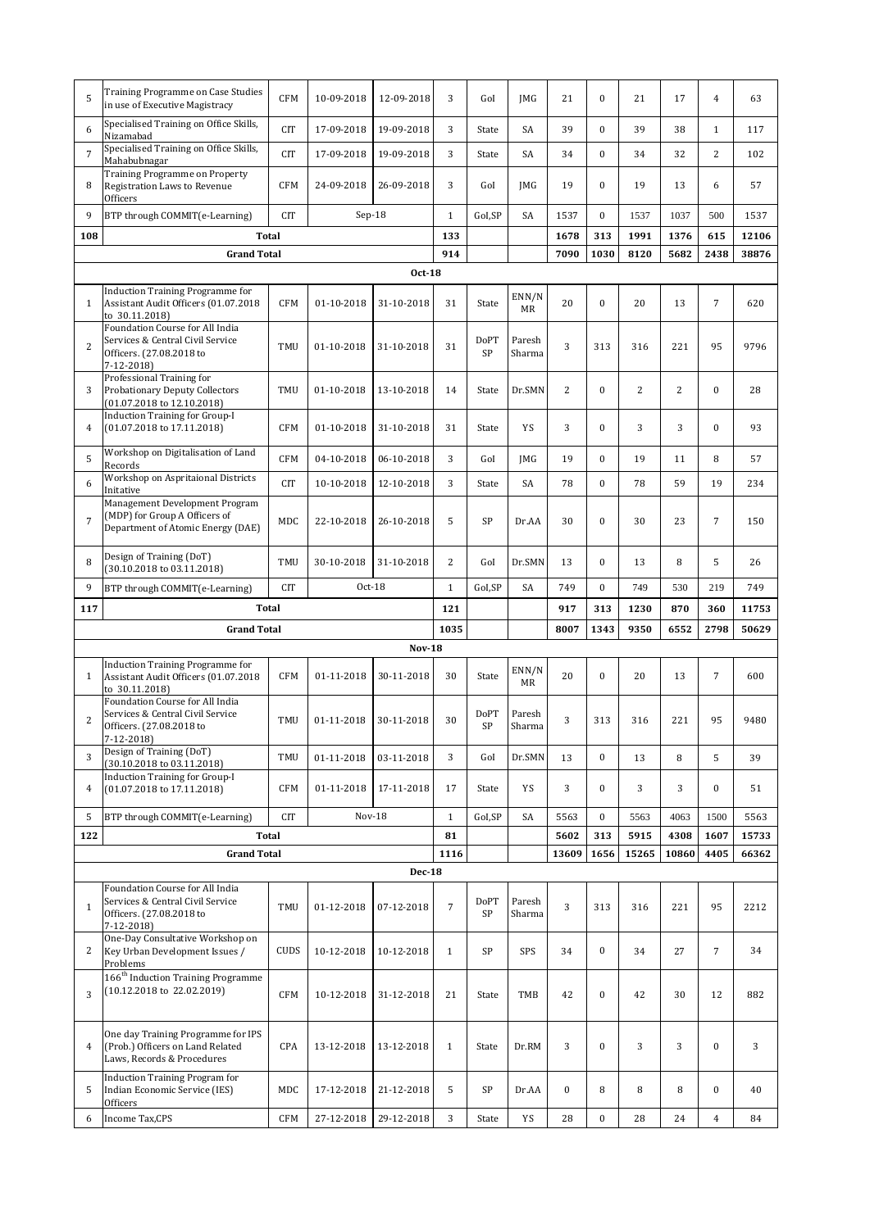| 5              | Training Programme on Case Studies<br>in use of Executive Magistracy                                               | <b>CFM</b>   | 10-09-2018    | 12-09-2018    | 3              | GoI               | <b>IMG</b>       | 21               | $\mathbf{0}$     | 21             | 17    | $\overline{4}$   | 63    |
|----------------|--------------------------------------------------------------------------------------------------------------------|--------------|---------------|---------------|----------------|-------------------|------------------|------------------|------------------|----------------|-------|------------------|-------|
| 6              | Specialised Training on Office Skills,<br>Nizamabad                                                                | <b>CIT</b>   | 17-09-2018    | 19-09-2018    | 3              | State             | SA               | 39               | $\overline{0}$   | 39             | 38    | $\mathbf{1}$     | 117   |
| 7              | Specialised Training on Office Skills,<br>Mahabubnagar                                                             | <b>CIT</b>   | 17-09-2018    | 19-09-2018    | 3              | State             | SA               | 34               | $\boldsymbol{0}$ | 34             | 32    | 2                | 102   |
| 8              | Training Programme on Property<br>Registration Laws to Revenue<br>Officers                                         | <b>CFM</b>   | 24-09-2018    | 26-09-2018    | 3              | GoI               | <b>IMG</b>       | 19               | $\overline{0}$   | 19             | 13    | 6                | 57    |
| 9              | BTP through COMMIT(e-Learning)                                                                                     | <b>CIT</b>   | $Sep-18$      |               | $\mathbf{1}$   | GoI,SP            | SA               | 1537             | $\mathbf{0}$     | 1537           | 1037  | 500              | 1537  |
| 108            |                                                                                                                    | <b>Total</b> |               |               | 133            |                   |                  | 1678             | 313              | 1991           | 1376  | 615              | 12106 |
|                | <b>Grand Total</b>                                                                                                 |              |               |               | 914            |                   |                  | 7090             | 1030             | 8120           | 5682  | 2438             | 38876 |
|                |                                                                                                                    |              |               | <b>Oct-18</b> |                |                   |                  |                  |                  |                |       |                  |       |
| $\mathbf{1}$   | <b>Induction Training Programme for</b><br>Assistant Audit Officers (01.07.2018<br>to 30.11.2018)                  | <b>CFM</b>   | 01-10-2018    | 31-10-2018    | 31             | State             | ENN/N<br>MR      | 20               | $\boldsymbol{0}$ | 20             | 13    | $\overline{7}$   | 620   |
| $\overline{2}$ | Foundation Course for All India<br>Services & Central Civil Service<br>Officers. (27.08.2018 to<br>$7 - 12 - 2018$ | TMU          | 01-10-2018    | 31-10-2018    | 31             | <b>DoPT</b><br>SP | Paresh<br>Sharma | 3                | 313              | 316            | 221   | 95               | 9796  |
| 3              | Professional Training for<br><b>Probationary Deputy Collectors</b><br>$(01.07.2018 \text{ to } 12.10.2018)$        | TMU          | 01-10-2018    | 13-10-2018    | 14             | State             | Dr.SMN           | 2                | $\mathbf{0}$     | $\overline{c}$ | 2     | $\overline{0}$   | 28    |
| 4              | <b>Induction Training for Group-I</b><br>(01.07.2018 to 17.11.2018)                                                | <b>CFM</b>   | 01-10-2018    | 31-10-2018    | 31             | State             | YS               | 3                | $\boldsymbol{0}$ | 3              | 3     | $\boldsymbol{0}$ | 93    |
| 5              | Workshop on Digitalisation of Land<br>Records                                                                      | <b>CFM</b>   | 04-10-2018    | 06-10-2018    | 3              | GoI               | JMG              | 19               | $\boldsymbol{0}$ | 19             | 11    | 8                | 57    |
| 6              | Workshop on Aspritaional Districts<br>Initative                                                                    | <b>CIT</b>   | 10-10-2018    | 12-10-2018    | 3              | State             | SA               | 78               | $\overline{0}$   | 78             | 59    | 19               | 234   |
| 7              | Management Development Program<br>(MDP) for Group A Officers of<br>Department of Atomic Energy (DAE)               | MDC          | 22-10-2018    | 26-10-2018    | 5              | SP                | Dr.AA            | 30               | $\boldsymbol{0}$ | 30             | 23    | $\overline{7}$   | 150   |
| 8              | Design of Training (DoT)<br>(30.10.2018 to 03.11.2018)                                                             | TMU          | 30-10-2018    | 31-10-2018    | $\overline{2}$ | GoI               | Dr.SMN           | 13               | $\overline{0}$   | 13             | 8     | 5                | 26    |
| 9              | BTP through COMMIT(e-Learning)                                                                                     | <b>CIT</b>   | Oct-18        |               | $\mathbf{1}$   | GoI,SP            | SA               | 749              | $\mathbf{0}$     | 749            | 530   | 219              | 749   |
| 117            | <b>Total</b>                                                                                                       |              |               |               |                |                   |                  |                  |                  |                |       |                  |       |
|                |                                                                                                                    |              |               |               | 121            |                   |                  | 917              | 313              | 1230           | 870   | 360              | 11753 |
|                | <b>Grand Total</b>                                                                                                 |              |               |               | 1035           |                   |                  | 8007             | 1343             | 9350           | 6552  | 2798             | 50629 |
|                |                                                                                                                    |              |               | <b>Nov-18</b> |                |                   |                  |                  |                  |                |       |                  |       |
| $\mathbf{1}$   | <b>Induction Training Programme for</b><br>Assistant Audit Officers (01.07.2018<br>to 30.11.2018)                  | <b>CFM</b>   | 01-11-2018    | 30-11-2018    | 30             | State             | ENN/N<br>MR      | 20               | $\boldsymbol{0}$ | 20             | 13    | $\overline{7}$   | 600   |
| 2              | Foundation Course for All India<br>Services & Central Civil Service<br>Officers. (27.08.2018 to<br>$7-12-2018$     | TMU          | 01-11-2018    | 30-11-2018    | 30             | <b>DoPT</b><br>SP | Paresh<br>Sharma | 3                | 313              | 316            | 221   | 95               | 9480  |
| 3              | Design of Training (DoT)<br>(30.10.2018 to 03.11.2018)                                                             | TMU          | 01-11-2018    | 03-11-2018    | 3              | GoI               | Dr.SMN           | 13               | $\boldsymbol{0}$ | 13             | 8     | 5                | 39    |
| 4              | <b>Induction Training for Group-I</b><br>(01.07.2018 to 17.11.2018)                                                | <b>CFM</b>   | 01-11-2018    | 17-11-2018    | 17             | State             | YS               | 3                | $\boldsymbol{0}$ | 3              | 3     | $\boldsymbol{0}$ | 51    |
| 5              | BTP through COMMIT(e-Learning)                                                                                     | <b>CIT</b>   | <b>Nov-18</b> |               | $\mathbf{1}$   | GoI,SP            | SA               | 5563             | $\boldsymbol{0}$ | 5563           | 4063  | 1500             | 5563  |
| 122            |                                                                                                                    | Total        |               |               | 81             |                   |                  | 5602             | 313              | 5915           | 4308  | 1607             | 15733 |
|                | <b>Grand Total</b>                                                                                                 |              |               |               | 1116           |                   |                  | 13609            | 1656             | 15265          | 10860 | 4405             | 66362 |
|                |                                                                                                                    |              |               | <b>Dec-18</b> |                |                   |                  |                  |                  |                |       |                  |       |
| $\mathbf{1}$   | Foundation Course for All India<br>Services & Central Civil Service<br>Officers. (27.08.2018 to<br>$7-12-2018$     | TMU          | 01-12-2018    | 07-12-2018    | $\overline{7}$ | <b>DoPT</b><br>SP | Paresh<br>Sharma | 3                | 313              | 316            | 221   | 95               | 2212  |
| 2              | One-Day Consultative Workshop on<br>Key Urban Development Issues /<br>Problems                                     | <b>CUDS</b>  | 10-12-2018    | 10-12-2018    | $\mathbf{1}$   | SP                | SPS              | 34               | $\bf{0}$         | 34             | 27    | $\overline{7}$   | 34    |
| 3              | 166 <sup>th</sup> Induction Training Programme<br>$(10.12.2018 \text{ to } 22.02.2019)$                            | <b>CFM</b>   | 10-12-2018    | 31-12-2018    | 21             | State             | TMB              | 42               | $\boldsymbol{0}$ | 42             | 30    | 12               | 882   |
| 4              | One day Training Programme for IPS<br>(Prob.) Officers on Land Related<br>Laws, Records & Procedures               | <b>CPA</b>   | 13-12-2018    | 13-12-2018    | $\mathbf{1}$   | State             | Dr.RM            | 3                | $\boldsymbol{0}$ | 3              | 3     | $\overline{0}$   | 3     |
| 5              | <b>Induction Training Program for</b><br>Indian Economic Service (IES)<br>Officers                                 | MDC          | 17-12-2018    | 21-12-2018    | 5              | <b>SP</b>         | Dr.AA            | $\boldsymbol{0}$ | 8                | 8              | 8     | $\boldsymbol{0}$ | 40    |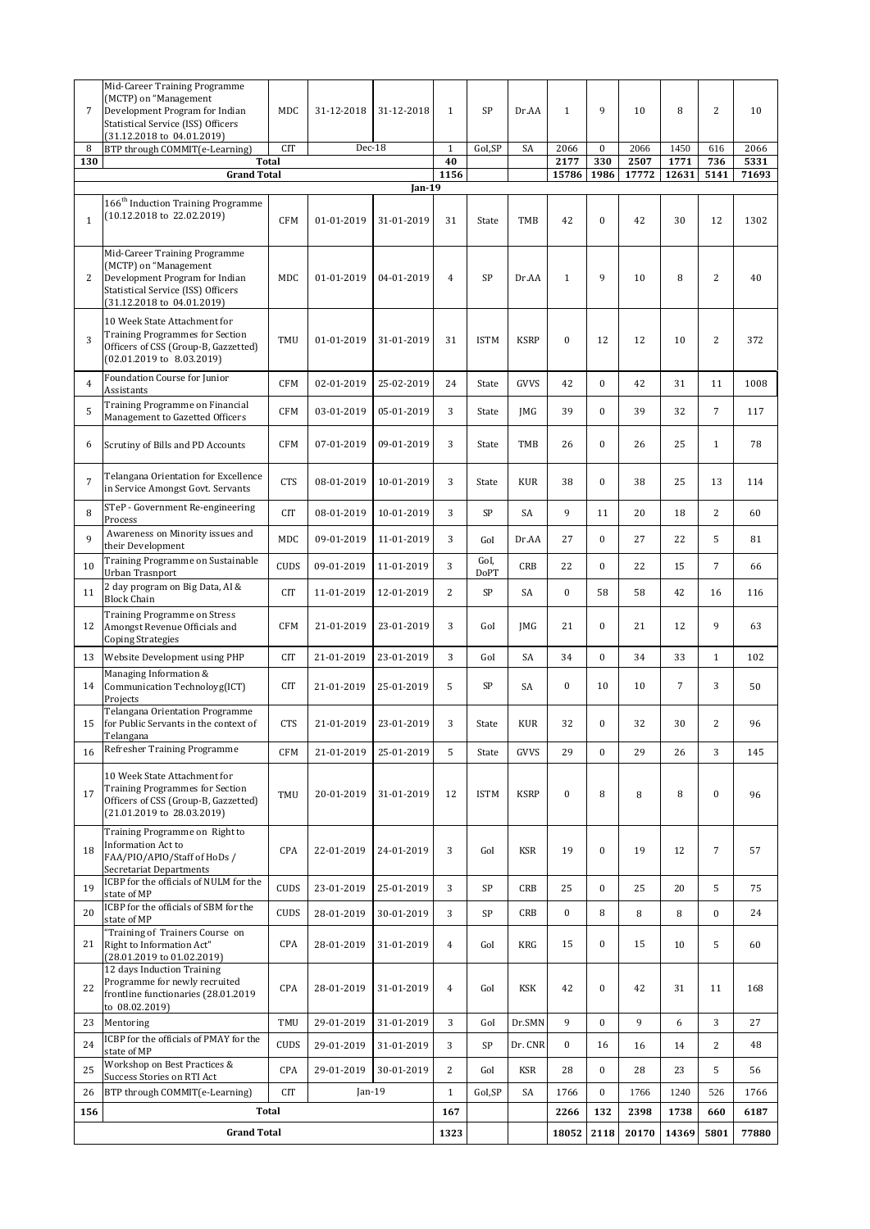| $\overline{7}$ | Mid-Career Training Programme<br>(MCTP) on "Management<br>Development Program for Indian<br>Statistical Service (ISS) Officers<br>(31.12.2018 to 04.01.2019)            | MDC         | 31-12-2018 | 31-12-2018 | $\mathbf{1}$   | SP                  | Dr.AA       | $\mathbf{1}$     | 9                | 10    | 8     | $\overline{2}$   | 10    |
|----------------|-------------------------------------------------------------------------------------------------------------------------------------------------------------------------|-------------|------------|------------|----------------|---------------------|-------------|------------------|------------------|-------|-------|------------------|-------|
| 8              | BTP through COMMIT(e-Learning)                                                                                                                                          | <b>CIT</b>  | Dec-18     |            | $\mathbf{1}$   | GoI,SP              | SA          | 2066             | $\mathbf{0}$     | 2066  | 1450  | 616              | 2066  |
| 130            | <b>Total</b>                                                                                                                                                            |             |            |            | 40             |                     |             | 2177             | 330              | 2507  | 1771  | 736              | 5331  |
|                | <b>Grand Total</b>                                                                                                                                                      |             |            | Jan-19     | 1156           |                     |             | 15786            | 1986             | 17772 | 12631 | 5141             | 71693 |
| $\mathbf{1}$   | $166^{\rm th}$ Induction Training Programme<br>$(10.12.2018 \text{ to } 22.02.2019)$                                                                                    | <b>CFM</b>  | 01-01-2019 | 31-01-2019 | 31             | State               | <b>TMB</b>  | 42               | $\boldsymbol{0}$ | 42    | 30    | 12               | 1302  |
| $\overline{2}$ | Mid-Career Training Programme<br>(MCTP) on "Management<br>Development Program for Indian<br>Statistical Service (ISS) Officers<br>$(31.12.2018 \text{ to } 04.01.2019)$ | MDC         | 01-01-2019 | 04-01-2019 | $\overline{4}$ | <b>SP</b>           | Dr.AA       | $1\,$            | 9                | 10    | 8     | $\overline{2}$   | 40    |
| 3              | 10 Week State Attachment for<br><b>Training Programmes for Section</b><br>Officers of CSS (Group-B, Gazzetted)<br>$(02.01.2019 \text{ to } 8.03.2019)$                  | TMU         | 01-01-2019 | 31-01-2019 | 31             | <b>ISTM</b>         | <b>KSRP</b> | $\boldsymbol{0}$ | 12               | 12    | 10    | $\sqrt{2}$       | 372   |
| $\overline{4}$ | Foundation Course for Junior<br>Assistants                                                                                                                              | <b>CFM</b>  | 02-01-2019 | 25-02-2019 | 24             | State               | GVVS        | 42               | $\boldsymbol{0}$ | 42    | 31    | 11               | 1008  |
| 5              | Training Programme on Financial<br>Management to Gazetted Officers                                                                                                      | <b>CFM</b>  | 03-01-2019 | 05-01-2019 | 3              | State               | <b>IMG</b>  | 39               | $\mathbf{0}$     | 39    | 32    | $\overline{7}$   | 117   |
| 6              | Scrutiny of Bills and PD Accounts                                                                                                                                       | <b>CFM</b>  | 07-01-2019 | 09-01-2019 | 3              | State               | TMB         | 26               | $\boldsymbol{0}$ | 26    | 25    | $\mathbf{1}$     | 78    |
| $\overline{7}$ | Telangana Orientation for Excellence<br>in Service Amongst Govt. Servants                                                                                               | <b>CTS</b>  | 08-01-2019 | 10-01-2019 | 3              | State               | <b>KUR</b>  | 38               | $\mathbf{0}$     | 38    | 25    | 13               | 114   |
| 8              | STeP - Government Re-engineering<br>Process                                                                                                                             | <b>CIT</b>  | 08-01-2019 | 10-01-2019 | 3              | SP                  | SA          | 9                | 11               | 20    | 18    | 2                | 60    |
| 9              | Awareness on Minority issues and<br>their Development                                                                                                                   | MDC         | 09-01-2019 | 11-01-2019 | 3              | GoI                 | Dr.AA       | 27               | $\mathbf{0}$     | 27    | 22    | 5                | 81    |
| 10             | Training Programme on Sustainable<br>Urban Trasnport                                                                                                                    | CUDS        | 09-01-2019 | 11-01-2019 | 3              | GoI,<br><b>DoPT</b> | CRB         | 22               | $\boldsymbol{0}$ | 22    | 15    | $\overline{7}$   | 66    |
| 11             | 2 day program on Big Data, AI &<br><b>Block Chain</b>                                                                                                                   | CIT         | 11-01-2019 | 12-01-2019 | $\overline{2}$ | SP                  | SA          | $\bf{0}$         | 58               | 58    | 42    | 16               | 116   |
| 12             | Training Programme on Stress<br>Amongst Revenue Officials and<br><b>Coping Strategies</b>                                                                               | <b>CFM</b>  | 21-01-2019 | 23-01-2019 | 3              | GoI                 | JMG         | 21               | $\overline{0}$   | 21    | 12    | 9                | 63    |
| 13             | Website Development using PHP                                                                                                                                           | <b>CIT</b>  | 21-01-2019 | 23-01-2019 | 3              | GoI                 | SA          | 34               | $\mathbf{0}$     | 34    | 33    | $\mathbf{1}$     | 102   |
| 14             | Managing Information &<br>Communication Technoloyg(ICT)<br>Projects                                                                                                     | <b>CIT</b>  | 21-01-2019 | 25-01-2019 | 5              | SP                  | SA          | $\boldsymbol{0}$ | 10               | 10    | 7     | 3                | 50    |
| 15             | <b>Telangana Orientation Programme</b><br>for Public Servants in the context of<br>Telangana                                                                            | <b>CTS</b>  | 21-01-2019 | 23-01-2019 | 3              | State               | <b>KUR</b>  | 32               | $\boldsymbol{0}$ | 32    | 30    | $\overline{c}$   | 96    |
| 16             | Refresher Training Programme                                                                                                                                            | <b>CFM</b>  | 21-01-2019 | 25-01-2019 | 5              | State               | GVVS        | 29               | $\mathbf{0}$     | 29    | 26    | 3                | 145   |
| 17             | 10 Week State Attachment for<br><b>Training Programmes for Section</b><br>Officers of CSS (Group-B, Gazzetted)<br>(21.01.2019 to 28.03.2019)                            | TMU         | 20-01-2019 | 31-01-2019 | 12             | <b>ISTM</b>         | <b>KSRP</b> | $\boldsymbol{0}$ | 8                | 8     | 8     | $\boldsymbol{0}$ | 96    |
| 18             | Training Programme on Right to<br>Information Act to<br>FAA/PIO/APIO/Staff of HoDs /<br>Secretariat Departments                                                         | CPA         | 22-01-2019 | 24-01-2019 | 3              | GoI                 | <b>KSR</b>  | 19               | $\boldsymbol{0}$ | 19    | 12    | $\overline{7}$   | 57    |
| 19             | ICBP for the officials of NULM for the<br>state of MP                                                                                                                   | CUDS        | 23-01-2019 | 25-01-2019 | 3              | SP                  | CRB         | 25               | $\boldsymbol{0}$ | 25    | 20    | 5                | 75    |
| 20             | ICBP for the officials of SBM for the<br>state of MP                                                                                                                    | CUDS        | 28-01-2019 | 30-01-2019 | 3              | SP                  | CRB         | $\boldsymbol{0}$ | 8                | 8     | 8     | $\mathbf{0}$     | 24    |
| 21             | "Training of Trainers Course on<br>Right to Information Act"<br>(28.01.2019 to 01.02.2019)                                                                              | CPA         | 28-01-2019 | 31-01-2019 | $\overline{4}$ | GoI                 | <b>KRG</b>  | 15               | $\boldsymbol{0}$ | 15    | 10    | 5                | 60    |
| 22             | 12 days Induction Training<br>Programme for newly recruited<br>frontline functionaries (28.01.2019<br>to 08.02.2019)                                                    | CPA         | 28-01-2019 | 31-01-2019 | $\overline{4}$ | GoI                 | KSK         | 42               | $\boldsymbol{0}$ | 42    | 31    | 11               | 168   |
| 23             | Mentoring                                                                                                                                                               | TMU         | 29-01-2019 | 31-01-2019 | 3              | GoI                 | Dr.SMN      | 9                | $\bf{0}$         | 9     | 6     | 3                | 27    |
| 24             | ICBP for the officials of PMAY for the<br>state of MP                                                                                                                   | <b>CUDS</b> | 29-01-2019 | 31-01-2019 | 3              | SP                  | Dr. CNR     | $\boldsymbol{0}$ | 16               | 16    | 14    | $\overline{c}$   | 48    |
| 25             | Workshop on Best Practices &<br>Success Stories on RTI Act                                                                                                              | CPA         | 29-01-2019 | 30-01-2019 | $\overline{c}$ | GoI                 | <b>KSR</b>  | 28               | $\bf{0}$         | 28    | 23    | 5                | 56    |
| 26             | BTP through COMMIT(e-Learning)                                                                                                                                          | <b>CIT</b>  | $Jan-19$   |            | $\mathbf{1}$   | GoI,SP              | SA          | 1766             | $\boldsymbol{0}$ | 1766  | 1240  | 526              | 1766  |
| 156            |                                                                                                                                                                         | Total       |            |            | 167            |                     |             | 2266             | 132              | 2398  | 1738  | 660              | 6187  |
|                | <b>Grand Total</b>                                                                                                                                                      |             |            |            | 1323           |                     |             | 18052            | 2118             | 20170 | 14369 | 5801             | 77880 |
|                |                                                                                                                                                                         |             |            |            |                |                     |             |                  |                  |       |       |                  |       |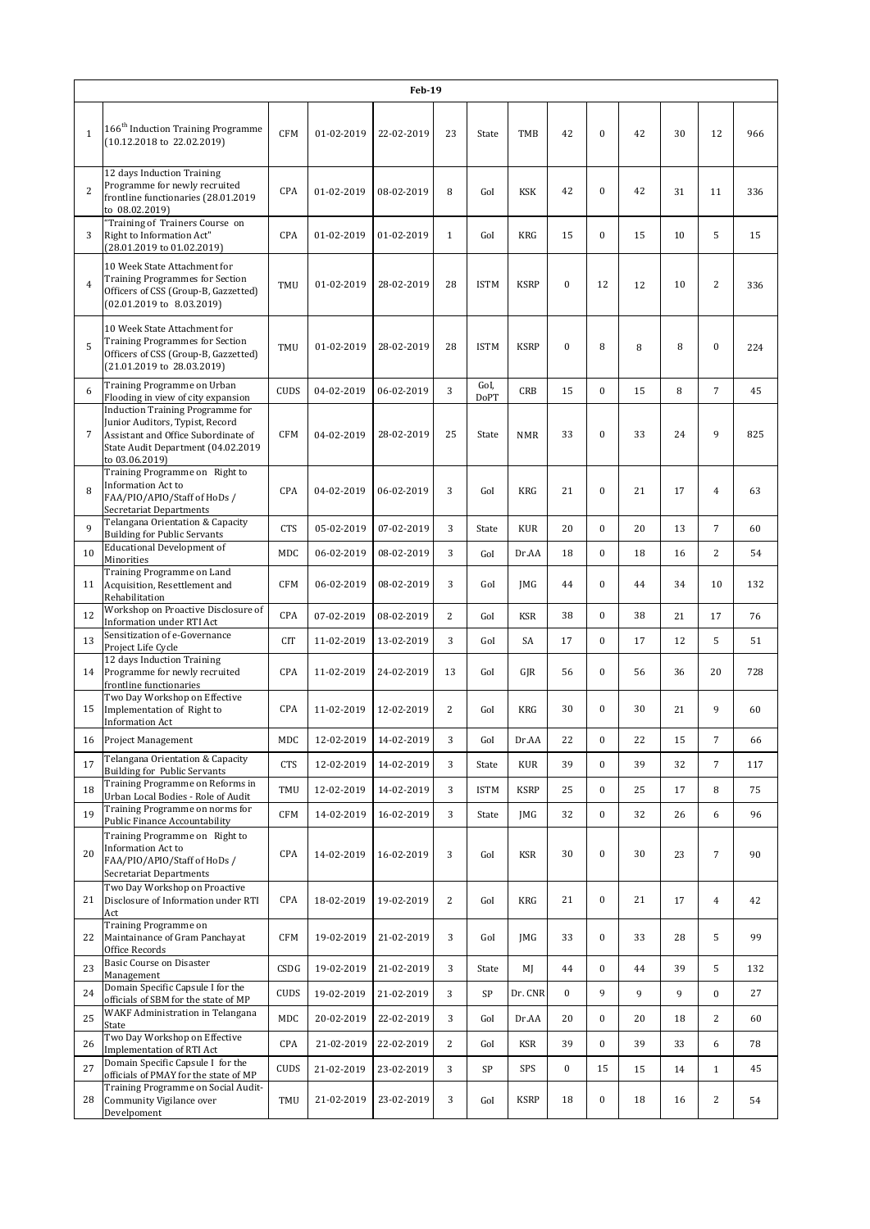|                |                                                                                                                                                                    |             |            | <b>Feb-19</b> |                |                     |             |                  |                  |    |    |                  |     |
|----------------|--------------------------------------------------------------------------------------------------------------------------------------------------------------------|-------------|------------|---------------|----------------|---------------------|-------------|------------------|------------------|----|----|------------------|-----|
| $1\,$          | 166 <sup>th</sup> Induction Training Programme<br>$(10.12.2018 \text{ to } 22.02.2019)$                                                                            | <b>CFM</b>  | 01-02-2019 | 22-02-2019    | 23             | State               | TMB         | 42               | $\mathbf{0}$     | 42 | 30 | 12               | 966 |
| $\overline{2}$ | 12 days Induction Training<br>Programme for newly recruited<br>frontline functionaries (28.01.2019<br>to 08.02.2019)                                               | CPA         | 01-02-2019 | 08-02-2019    | 8              | GoI                 | <b>KSK</b>  | 42               | $\boldsymbol{0}$ | 42 | 31 | 11               | 336 |
| 3              | "Training of Trainers Course on<br>Right to Information Act"<br>(28.01.2019 to 01.02.2019)                                                                         | CPA         | 01-02-2019 | 01-02-2019    | $\mathbf{1}$   | GoI                 | <b>KRG</b>  | 15               | $\mathbf{0}$     | 15 | 10 | 5                | 15  |
| $\overline{4}$ | 10 Week State Attachment for<br><b>Training Programmes for Section</b><br>Officers of CSS (Group-B, Gazzetted)<br>$(02.01.2019 \text{ to } 8.03.2019)$             | TMU         | 01-02-2019 | 28-02-2019    | 28             | <b>ISTM</b>         | <b>KSRP</b> | $\bf{0}$         | 12               | 12 | 10 | $\overline{2}$   | 336 |
| 5              | 10 Week State Attachment for<br><b>Training Programmes for Section</b><br>Officers of CSS (Group-B, Gazzetted)<br>(21.01.2019 to 28.03.2019)                       | TMU         | 01-02-2019 | 28-02-2019    | 28             | <b>ISTM</b>         | <b>KSRP</b> | $\mathbf{0}$     | 8                | 8  | 8  | $\bf{0}$         | 224 |
| 6              | Training Programme on Urban<br>Flooding in view of city expansion                                                                                                  | <b>CUDS</b> | 04-02-2019 | 06-02-2019    | 3              | GoI.<br><b>DoPT</b> | CRB         | 15               | $\mathbf{0}$     | 15 | 8  | $\overline{7}$   | 45  |
| $\overline{7}$ | Induction Training Programme for<br>Junior Auditors, Typist, Record<br>Assistant and Office Subordinate of<br>State Audit Department (04.02.2019<br>to 03.06.2019) | <b>CFM</b>  | 04-02-2019 | 28-02-2019    | 25             | State               | <b>NMR</b>  | 33               | $\mathbf{0}$     | 33 | 24 | 9                | 825 |
| 8              | Training Programme on Right to<br><b>Information Act to</b><br>FAA/PIO/APIO/Staff of HoDs /<br>Secretariat Departments                                             | <b>CPA</b>  | 04-02-2019 | 06-02-2019    | 3              | GoI                 | <b>KRG</b>  | 21               | $\mathbf{0}$     | 21 | 17 | $\overline{4}$   | 63  |
| 9              | Telangana Orientation & Capacity<br><b>Building for Public Servants</b>                                                                                            | <b>CTS</b>  | 05-02-2019 | 07-02-2019    | 3              | State               | <b>KUR</b>  | 20               | $\overline{0}$   | 20 | 13 | $\overline{7}$   | 60  |
| 10             | <b>Educational Development of</b><br>Minorities                                                                                                                    | MDC         | 06-02-2019 | 08-02-2019    | 3              | GoI                 | Dr.AA       | 18               | $\mathbf{0}$     | 18 | 16 | $\overline{c}$   | 54  |
| 11             | Training Programme on Land<br>Acquisition, Resettlement and<br>Rehabilitation                                                                                      | <b>CFM</b>  | 06-02-2019 | 08-02-2019    | 3              | GoI                 | <b>IMG</b>  | 44               | $\mathbf{0}$     | 44 | 34 | 10               | 132 |
| 12             | Workshop on Proactive Disclosure of<br>Information under RTI Act                                                                                                   | <b>CPA</b>  | 07-02-2019 | 08-02-2019    | $\overline{2}$ | GoI                 | <b>KSR</b>  | 38               | $\overline{0}$   | 38 | 21 | 17               | 76  |
| 13             | Sensitization of e-Governance<br>Project Life Cycle                                                                                                                | <b>CIT</b>  | 11-02-2019 | 13-02-2019    | 3              | GoI                 | SA          | 17               | $\mathbf{0}$     | 17 | 12 | 5                | 51  |
| 14             | 12 days Induction Training<br>Programme for newly recruited<br>frontline functionaries                                                                             | CPA         | 11-02-2019 | 24-02-2019    | 13             | GoI                 | GJR         | 56               | $\bf{0}$         | 56 | 36 | 20               | 728 |
| 15             | Two Day Workshop on Effective<br>Implementation of Right to<br><b>Information Act</b>                                                                              | CPA         | 11-02-2019 | 12-02-2019    | $\overline{2}$ | GoI                 | <b>KRG</b>  | 30               | $\mathbf{0}$     | 30 | 21 | 9                | 60  |
| 16             | <b>Project Management</b>                                                                                                                                          | MDC         | 12-02-2019 | 14-02-2019    | 3              | GoI                 | Dr.AA       | 22               | $\boldsymbol{0}$ | 22 | 15 | 7                | 66  |
| 17             | Telangana Orientation & Capacity<br>Building for Public Servants                                                                                                   | <b>CTS</b>  | 12-02-2019 | 14-02-2019    | 3              | State               | <b>KUR</b>  | 39               | $\mathbf{0}$     | 39 | 32 | $\overline{7}$   | 117 |
| 18             | Training Programme on Reforms in<br>Urban Local Bodies - Role of Audit                                                                                             | TMU         | 12-02-2019 | 14-02-2019    | 3              | <b>ISTM</b>         | <b>KSRP</b> | 25               | $\bf{0}$         | 25 | 17 | 8                | 75  |
| 19             | Training Programme on norms for<br>Public Finance Accountability                                                                                                   | CFM         | 14-02-2019 | 16-02-2019    | 3              | State               | JMG         | 32               | $\boldsymbol{0}$ | 32 | 26 | 6                | 96  |
| 20             | Training Programme on Right to<br>Information Act to<br>FAA/PIO/APIO/Staff of HoDs /<br>Secretariat Departments                                                    | CPA         | 14-02-2019 | 16-02-2019    | 3              | GoI                 | <b>KSR</b>  | 30               | $\boldsymbol{0}$ | 30 | 23 | $\boldsymbol{7}$ | 90  |
| 21             | Two Day Workshop on Proactive<br>Disclosure of Information under RTI<br>Act                                                                                        | CPA         | 18-02-2019 | 19-02-2019    | $\mathbf{2}$   | GoI                 | KRG         | 21               | $\boldsymbol{0}$ | 21 | 17 | $\overline{4}$   | 42  |
| 22             | Training Programme on<br>Maintainance of Gram Panchayat<br>Office Records                                                                                          | CFM         | 19-02-2019 | 21-02-2019    | 3              | GoI                 | JMG         | 33               | $\bf{0}$         | 33 | 28 | 5                | 99  |
| 23             | <b>Basic Course on Disaster</b><br>Management                                                                                                                      | CSDG        | 19-02-2019 | 21-02-2019    | 3              | State               | MJ          | 44               | $\boldsymbol{0}$ | 44 | 39 | 5                | 132 |
| 24             | Domain Specific Capsule I for the<br>officials of SBM for the state of MP                                                                                          | <b>CUDS</b> | 19-02-2019 | 21-02-2019    | 3              | SP                  | Dr. CNR     | $\boldsymbol{0}$ | 9                | 9  | 9  | $\boldsymbol{0}$ | 27  |
| 25             | WAKF Administration in Telangana<br>State                                                                                                                          | MDC         | 20-02-2019 | 22-02-2019    | 3              | GoI                 | Dr.AA       | 20               | $\bf{0}$         | 20 | 18 | $\overline{c}$   | 60  |
| 26             | Two Day Workshop on Effective<br>Implementation of RTI Act                                                                                                         | CPA         | 21-02-2019 | 22-02-2019    | $\overline{c}$ | GoI                 | KSR         | 39               | $\boldsymbol{0}$ | 39 | 33 | 6                | 78  |
| 27             | Domain Specific Capsule I for the<br>officials of PMAY for the state of MP                                                                                         | <b>CUDS</b> | 21-02-2019 | 23-02-2019    | 3              | SP                  | SPS         | $\boldsymbol{0}$ | 15               | 15 | 14 | $\mathbf{1}$     | 45  |
| 28             | Training Programme on Social Audit-<br>Community Vigilance over<br>Develpoment                                                                                     | TMU         | 21-02-2019 | 23-02-2019    | 3              | GoI                 | <b>KSRP</b> | 18               | $\boldsymbol{0}$ | 18 | 16 | $\overline{c}$   | 54  |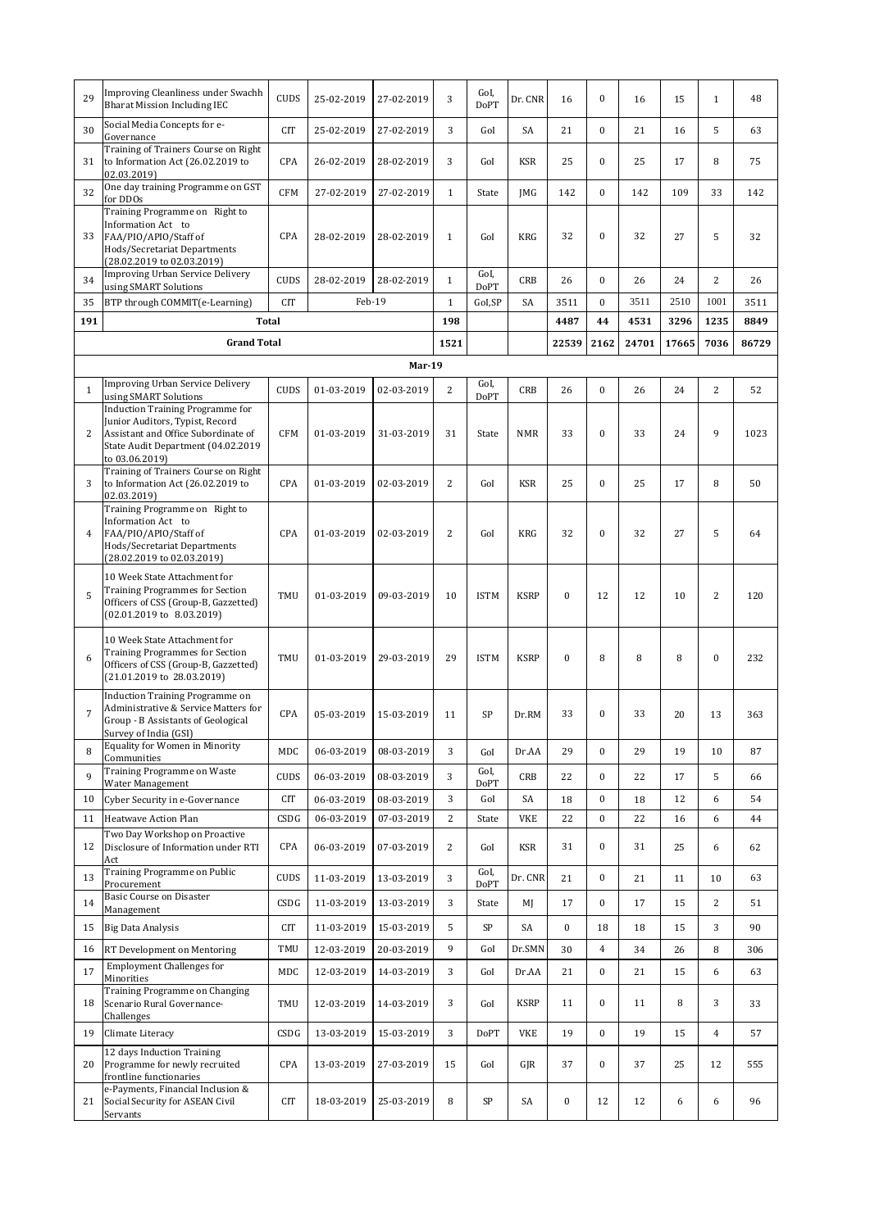| 29             | Improving Cleanliness under Swachh<br><b>Bharat Mission Including IEC</b>                                                                              | <b>CUDS</b> | 25-02-2019 | 27-02-2019    | 3              | GoI,<br><b>DoPT</b> | Dr. CNR     | 16               | $\boldsymbol{0}$ | 16    | 15    | $\mathbf{1}$   | 48    |
|----------------|--------------------------------------------------------------------------------------------------------------------------------------------------------|-------------|------------|---------------|----------------|---------------------|-------------|------------------|------------------|-------|-------|----------------|-------|
| 30             | Social Media Concepts for e-<br>Governance                                                                                                             | <b>CIT</b>  | 25-02-2019 | 27-02-2019    | 3              | GoI                 | SA          | 21               | $\mathbf{0}$     | 21    | 16    | 5              | 63    |
| 31             | Training of Trainers Course on Right<br>to Information Act (26.02.2019 to<br>02.03.2019)                                                               | CPA         | 26-02-2019 | 28-02-2019    | 3              | GoI                 | KSR         | 25               | $\mathbf{0}$     | 25    | 17    | 8              | 75    |
| 32             | One day training Programme on GST<br>for DDOs                                                                                                          | <b>CFM</b>  | 27-02-2019 | 27-02-2019    | $\mathbf{1}$   | State               | JMG         | 142              | $\mathbf{0}$     | 142   | 109   | 33             | 142   |
| 33             | Training Programme on Right to<br>Information Act to<br>FAA/PIO/APIO/Staff of<br>Hods/Secretariat Departments<br>(28.02.2019 to 02.03.2019)            | <b>CPA</b>  | 28-02-2019 | 28-02-2019    | $\mathbf{1}$   | GoI                 | <b>KRG</b>  | 32               | $\boldsymbol{0}$ | 32    | 27    | 5              | 32    |
| 34             | <b>Improving Urban Service Delivery</b><br>using SMART Solutions                                                                                       | <b>CUDS</b> | 28-02-2019 | 28-02-2019    | $\mathbf{1}$   | GoI.<br>DoPT        | <b>CRB</b>  | 26               | $\mathbf{0}$     | 26    | 24    | $\overline{2}$ | 26    |
| 35             | BTP through COMMIT(e-Learning)                                                                                                                         | <b>CIT</b>  | Feb-19     |               | $\mathbf{1}$   | GoI,SP              | SA          | 3511             | $\mathbf{0}$     | 3511  | 2510  | 1001           | 3511  |
| 191            | <b>Total</b>                                                                                                                                           |             |            |               | 198            |                     |             | 4487             | 44               | 4531  | 3296  | 1235           | 8849  |
|                | <b>Grand Total</b>                                                                                                                                     |             |            |               | 1521           |                     |             | 22539            | 2162             | 24701 | 17665 | 7036           | 86729 |
|                |                                                                                                                                                        |             |            | <b>Mar-19</b> |                |                     |             |                  |                  |       |       |                |       |
| $\mathbf{1}$   | <b>Improving Urban Service Delivery</b>                                                                                                                | <b>CUDS</b> | 01-03-2019 | 02-03-2019    | $\overline{c}$ | GoI,                | <b>CRB</b>  | 26               | $\boldsymbol{0}$ | 26    | 24    | $\overline{2}$ | 52    |
|                | using SMART Solutions<br><b>Induction Training Programme for</b>                                                                                       |             |            |               |                | <b>DoPT</b>         |             |                  |                  |       |       |                |       |
| $\overline{2}$ | Junior Auditors, Typist, Record<br>Assistant and Office Subordinate of<br>State Audit Department (04.02.2019<br>to 03.06.2019)                         | <b>CFM</b>  | 01-03-2019 | 31-03-2019    | 31             | State               | <b>NMR</b>  | 33               | $\boldsymbol{0}$ | 33    | 24    | 9              | 1023  |
| 3              | Training of Trainers Course on Right<br>to Information Act (26.02.2019 to<br>02.03.2019)                                                               | CPA         | 01-03-2019 | 02-03-2019    | $\overline{2}$ | GoI                 | <b>KSR</b>  | 25               | $\mathbf{0}$     | 25    | 17    | 8              | 50    |
| $\overline{4}$ | Training Programme on Right to<br>Information Act to<br>FAA/PIO/APIO/Staff of<br>Hods/Secretariat Departments<br>(28.02.2019 to 02.03.2019)            | CPA         | 01-03-2019 | 02-03-2019    | $\overline{2}$ | GoI                 | <b>KRG</b>  | 32               | $\boldsymbol{0}$ | 32    | 27    | 5              | 64    |
| 5              | 10 Week State Attachment for<br><b>Training Programmes for Section</b><br>Officers of CSS (Group-B, Gazzetted)<br>$(02.01.2019 \text{ to } 8.03.2019)$ | TMU         | 01-03-2019 | 09-03-2019    | 10             | <b>ISTM</b>         | <b>KSRP</b> | $\bf{0}$         | 12               | 12    | 10    | $\overline{2}$ | 120   |
| 6              | 10 Week State Attachment for<br><b>Training Programmes for Section</b><br>Officers of CSS (Group-B, Gazzetted)<br>(21.01.2019 to 28.03.2019)           | TMU         | 01-03-2019 | 29-03-2019    | 29             | <b>ISTM</b>         | <b>KSRP</b> | $\mathbf{0}$     | 8                | 8     | 8     | $\mathbf{0}$   | 232   |
| $\overline{7}$ | Induction Training Programme on<br>Administrative & Service Matters for<br>Group - B Assistants of Geological<br>Survey of India (GSI)                 | CPA         | 05-03-2019 | 15-03-2019    | 11             | SP                  | Dr.RM       | 33               | $\boldsymbol{0}$ | 33    | 20    | 13             | 363   |
| 8              | Equality for Women in Minority<br>Communities                                                                                                          | MDC         | 06-03-2019 | 08-03-2019    | 3              | GoI                 | Dr.AA       | 29               | $\boldsymbol{0}$ | 29    | 19    | 10             | 87    |
| 9              | Training Programme on Waste<br>Water Management                                                                                                        | <b>CUDS</b> | 06-03-2019 | 08-03-2019    | 3              | GoI,<br>DoPT        | CRB         | 22               | $\boldsymbol{0}$ | 22    | 17    | 5              | 66    |
| 10             | Cyber Security in e-Governance                                                                                                                         | <b>CIT</b>  | 06-03-2019 | 08-03-2019    | 3              | GoI                 | SA          | 18               | $\boldsymbol{0}$ | 18    | 12    | 6              | 54    |
| 11             | Heatwave Action Plan                                                                                                                                   | CSDG        | 06-03-2019 | 07-03-2019    | $\mathbf{2}$   | State               | VKE         | 22               | $\boldsymbol{0}$ | 22    | 16    | 6              | 44    |
| 12             | Two Day Workshop on Proactive<br>Disclosure of Information under RTI<br>Act                                                                            | CPA         | 06-03-2019 | 07-03-2019    | $\overline{c}$ | GoI                 | KSR         | 31               | $\boldsymbol{0}$ | 31    | 25    | 6              | 62    |
| 13             | Training Programme on Public<br>Procurement                                                                                                            | CUDS        | 11-03-2019 | 13-03-2019    | 3              | GoI,<br><b>DoPT</b> | Dr. CNR     | 21               | $\boldsymbol{0}$ | 21    | 11    | 10             | 63    |
| 14             | Basic Course on Disaster                                                                                                                               | CSDG        | 11-03-2019 | 13-03-2019    | 3              | State               | MJ          | 17               | $\boldsymbol{0}$ | 17    | 15    | $\overline{c}$ | 51    |
| 15             | Management<br><b>Big Data Analysis</b>                                                                                                                 | CIT         | 11-03-2019 | 15-03-2019    | 5              | SP                  | SA          | $\bf{0}$         | 18               | 18    | 15    | 3              | 90    |
| 16             | RT Development on Mentoring                                                                                                                            | TMU         | 12-03-2019 | 20-03-2019    | 9              | GoI                 | Dr.SMN      | 30               | $\,4\,$          | 34    | 26    | 8              | 306   |
| 17             | <b>Employment Challenges for</b>                                                                                                                       | MDC         | 12-03-2019 | 14-03-2019    | 3              | GoI                 | Dr.AA       | 21               | $\boldsymbol{0}$ | 21    | 15    | 6              | 63    |
| 18             | Minorities<br>Training Programme on Changing<br>Scenario Rural Governance-                                                                             | TMU         | 12-03-2019 | 14-03-2019    | 3              | GoI                 | <b>KSRP</b> | 11               | $\boldsymbol{0}$ | 11    | 8     | 3              | 33    |
|                | Challenges<br>Climate Literacy                                                                                                                         |             |            |               | 3              | <b>DoPT</b>         |             | 19               | $\boldsymbol{0}$ | 19    |       | $\overline{4}$ |       |
| 19             | 12 days Induction Training                                                                                                                             | CSDG        | 13-03-2019 | 15-03-2019    |                |                     | VKE         |                  |                  |       | 15    |                | 57    |
| 20             | Programme for newly recruited<br>frontline functionaries<br>e-Payments, Financial Inclusion &                                                          | CPA         | 13-03-2019 | 27-03-2019    | 15             | GoI                 | GJR         | 37               | $\boldsymbol{0}$ | 37    | 25    | 12             | 555   |
| 21             | Social Security for ASEAN Civil<br>Servants                                                                                                            | <b>CIT</b>  | 18-03-2019 | 25-03-2019    | 8              | SP                  | SA          | $\boldsymbol{0}$ | 12               | 12    | 6     | 6              | 96    |